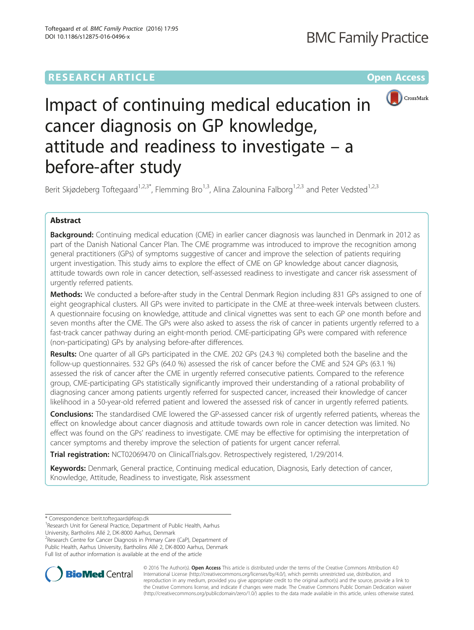# **RESEARCH ARTICLE Example 2014 12:30 The Community Community Community Community Community Community Community**



Impact of continuing medical education in cancer diagnosis on GP knowledge, attitude and readiness to investigate – a before-after study

Berit Skjødeberg Toftegaard<sup>1,2,3\*</sup>, Flemming Bro<sup>1,3</sup>, Alina Zalounina Falborg<sup>1,2,3</sup> and Peter Vedsted<sup>1,2,3</sup>

# Abstract

Background: Continuing medical education (CME) in earlier cancer diagnosis was launched in Denmark in 2012 as part of the Danish National Cancer Plan. The CME programme was introduced to improve the recognition among general practitioners (GPs) of symptoms suggestive of cancer and improve the selection of patients requiring urgent investigation. This study aims to explore the effect of CME on GP knowledge about cancer diagnosis, attitude towards own role in cancer detection, self-assessed readiness to investigate and cancer risk assessment of urgently referred patients.

Methods: We conducted a before-after study in the Central Denmark Region including 831 GPs assigned to one of eight geographical clusters. All GPs were invited to participate in the CME at three-week intervals between clusters. A questionnaire focusing on knowledge, attitude and clinical vignettes was sent to each GP one month before and seven months after the CME. The GPs were also asked to assess the risk of cancer in patients urgently referred to a fast-track cancer pathway during an eight-month period. CME-participating GPs were compared with reference (non-participating) GPs by analysing before-after differences.

Results: One quarter of all GPs participated in the CME. 202 GPs (24.3 %) completed both the baseline and the follow-up questionnaires. 532 GPs (64.0 %) assessed the risk of cancer before the CME and 524 GPs (63.1 %) assessed the risk of cancer after the CME in urgently referred consecutive patients. Compared to the reference group, CME-participating GPs statistically significantly improved their understanding of a rational probability of diagnosing cancer among patients urgently referred for suspected cancer, increased their knowledge of cancer likelihood in a 50-year-old referred patient and lowered the assessed risk of cancer in urgently referred patients.

Conclusions: The standardised CME lowered the GP-assessed cancer risk of urgently referred patients, whereas the effect on knowledge about cancer diagnosis and attitude towards own role in cancer detection was limited. No effect was found on the GPs' readiness to investigate. CME may be effective for optimising the interpretation of cancer symptoms and thereby improve the selection of patients for urgent cancer referral.

Trial registration: [NCT02069470](https://clinicaltrials.gov/show/NCT02069470) on ClinicalTrials.gov. Retrospectively registered, 1/29/2014.

Keywords: Denmark, General practice, Continuing medical education, Diagnosis, Early detection of cancer, Knowledge, Attitude, Readiness to investigate, Risk assessment

<sup>2</sup> Research Centre for Cancer Diagnosis in Primary Care (CaP), Department of

Public Health, Aarhus University, Bartholins Allé 2, DK-8000 Aarhus, Denmark Full list of author information is available at the end of the article



© 2016 The Author(s). Open Access This article is distributed under the terms of the Creative Commons Attribution 4.0 International License [\(http://creativecommons.org/licenses/by/4.0/](http://creativecommons.org/licenses/by/4.0/)), which permits unrestricted use, distribution, and reproduction in any medium, provided you give appropriate credit to the original author(s) and the source, provide a link to the Creative Commons license, and indicate if changes were made. The Creative Commons Public Domain Dedication waiver [\(http://creativecommons.org/publicdomain/zero/1.0/](http://creativecommons.org/publicdomain/zero/1.0/)) applies to the data made available in this article, unless otherwise stated.

<sup>\*</sup> Correspondence: [berit.toftegaard@feap.dk](mailto:berit.toftegaard@feap.dk) <sup>1</sup>

<sup>&</sup>lt;sup>1</sup> Research Unit for General Practice, Department of Public Health, Aarhus University, Bartholins Allé 2, DK-8000 Aarhus, Denmark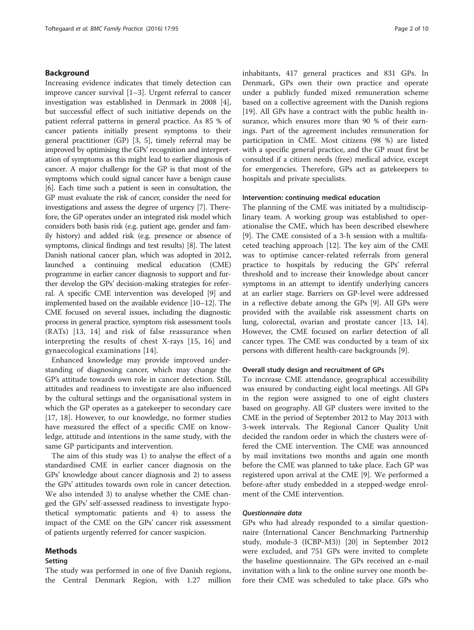# Background

Increasing evidence indicates that timely detection can improve cancer survival [\[1](#page-9-0)–[3](#page-9-0)]. Urgent referral to cancer investigation was established in Denmark in 2008 [\[4](#page-9-0)], but successful effect of such initiative depends on the patient referral patterns in general practice. As 85 % of cancer patients initially present symptoms to their general practitioner (GP) [[3, 5](#page-9-0)], timely referral may be improved by optimising the GPs' recognition and interpretation of symptoms as this might lead to earlier diagnosis of cancer. A major challenge for the GP is that most of the symptoms which could signal cancer have a benign cause [[6](#page-9-0)]. Each time such a patient is seen in consultation, the GP must evaluate the risk of cancer, consider the need for investigations and assess the degree of urgency [[7](#page-9-0)]. Therefore, the GP operates under an integrated risk model which considers both basis risk (e.g. patient age, gender and family history) and added risk (e.g. presence or absence of symptoms, clinical findings and test results) [\[8\]](#page-9-0). The latest Danish national cancer plan, which was adopted in 2012, launched a continuing medical education (CME) programme in earlier cancer diagnosis to support and further develop the GPs' decision-making strategies for referral. A specific CME intervention was developed [\[9](#page-9-0)] and implemented based on the available evidence [\[10](#page-9-0)–[12\]](#page-9-0). The CME focused on several issues, including the diagnostic process in general practice, symptom risk assessment tools (RATs) [[13](#page-9-0), [14](#page-9-0)] and risk of false reassurance when interpreting the results of chest X-rays [[15](#page-9-0), [16\]](#page-9-0) and gynaecological examinations [\[14](#page-9-0)].

Enhanced knowledge may provide improved understanding of diagnosing cancer, which may change the GP's attitude towards own role in cancer detection. Still, attitudes and readiness to investigate are also influenced by the cultural settings and the organisational system in which the GP operates as a gatekeeper to secondary care [[17, 18](#page-9-0)]. However, to our knowledge, no former studies have measured the effect of a specific CME on knowledge, attitude and intentions in the same study, with the same GP participants and intervention.

The aim of this study was 1) to analyse the effect of a standardised CME in earlier cancer diagnosis on the GPs' knowledge about cancer diagnosis and 2) to assess the GPs' attitudes towards own role in cancer detection. We also intended 3) to analyse whether the CME changed the GPs' self-assessed readiness to investigate hypothetical symptomatic patients and 4) to assess the impact of the CME on the GPs' cancer risk assessment of patients urgently referred for cancer suspicion.

# Methods

# Setting

The study was performed in one of five Danish regions, the Central Denmark Region, with 1.27 million inhabitants, 417 general practices and 831 GPs. In Denmark, GPs own their own practice and operate under a publicly funded mixed remuneration scheme based on a collective agreement with the Danish regions [[19\]](#page-9-0). All GPs have a contract with the public health insurance, which ensures more than 90 % of their earnings. Part of the agreement includes remuneration for participation in CME. Most citizens (98 %) are listed with a specific general practice, and the GP must first be consulted if a citizen needs (free) medical advice, except for emergencies. Therefore, GPs act as gatekeepers to hospitals and private specialists.

### Intervention: continuing medical education

The planning of the CME was initiated by a multidisciplinary team. A working group was established to operationalise the CME, which has been described elsewhere [[9\]](#page-9-0). The CME consisted of a 3-h session with a multifaceted teaching approach [\[12](#page-9-0)]. The key aim of the CME was to optimise cancer-related referrals from general practice to hospitals by reducing the GPs' referral threshold and to increase their knowledge about cancer symptoms in an attempt to identify underlying cancers at an earlier stage. Barriers on GP-level were addressed in a reflective debate among the GPs [[9\]](#page-9-0). All GPs were provided with the available risk assessment charts on lung, colorectal, ovarian and prostate cancer [\[13](#page-9-0), [14](#page-9-0)]. However, the CME focused on earlier detection of all cancer types. The CME was conducted by a team of six persons with different health-care backgrounds [\[9\]](#page-9-0).

### Overall study design and recruitment of GPs

To increase CME attendance, geographical accessibility was ensured by conducting eight local meetings. All GPs in the region were assigned to one of eight clusters based on geography. All GP clusters were invited to the CME in the period of September 2012 to May 2013 with 3-week intervals. The Regional Cancer Quality Unit decided the random order in which the clusters were offered the CME intervention. The CME was announced by mail invitations two months and again one month before the CME was planned to take place. Each GP was registered upon arrival at the CME [[9\]](#page-9-0). We performed a before-after study embedded in a stepped-wedge enrolment of the CME intervention.

### Questionnaire data

GPs who had already responded to a similar questionnaire (International Cancer Benchmarking Partnership study, module-3 (ICBP-M3)) [[20\]](#page-9-0) in September 2012 were excluded, and 751 GPs were invited to complete the baseline questionnaire. The GPs received an e-mail invitation with a link to the online survey one month before their CME was scheduled to take place. GPs who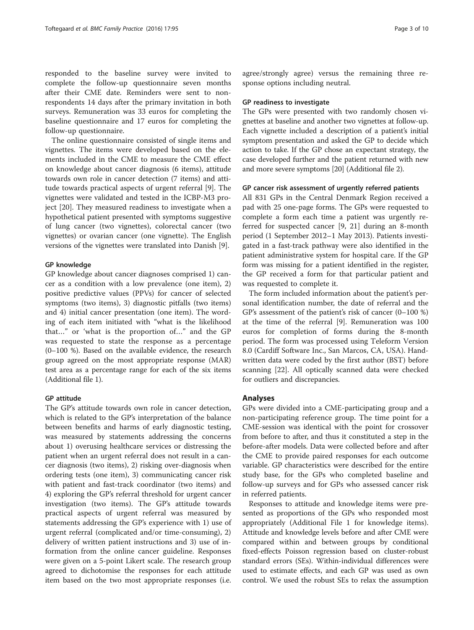responded to the baseline survey were invited to complete the follow-up questionnaire seven months after their CME date. Reminders were sent to nonrespondents 14 days after the primary invitation in both surveys. Remuneration was 33 euros for completing the baseline questionnaire and 17 euros for completing the follow-up questionnaire.

The online questionnaire consisted of single items and vignettes. The items were developed based on the elements included in the CME to measure the CME effect on knowledge about cancer diagnosis (6 items), attitude towards own role in cancer detection (7 items) and attitude towards practical aspects of urgent referral [[9\]](#page-9-0). The vignettes were validated and tested in the ICBP-M3 project [[20](#page-9-0)]. They measured readiness to investigate when a hypothetical patient presented with symptoms suggestive of lung cancer (two vignettes), colorectal cancer (two vignettes) or ovarian cancer (one vignette). The English versions of the vignettes were translated into Danish [\[9\]](#page-9-0).

### GP knowledge

GP knowledge about cancer diagnoses comprised 1) cancer as a condition with a low prevalence (one item), 2) positive predictive values (PPVs) for cancer of selected symptoms (two items), 3) diagnostic pitfalls (two items) and 4) initial cancer presentation (one item). The wording of each item initiated with "what is the likelihood that…" or 'what is the proportion of…" and the GP was requested to state the response as a percentage (0–100 %). Based on the available evidence, the research group agreed on the most appropriate response (MAR) test area as a percentage range for each of the six items (Additional file [1](#page-8-0)).

### GP attitude

The GP's attitude towards own role in cancer detection, which is related to the GP's interpretation of the balance between benefits and harms of early diagnostic testing, was measured by statements addressing the concerns about 1) overusing healthcare services or distressing the patient when an urgent referral does not result in a cancer diagnosis (two items), 2) risking over-diagnosis when ordering tests (one item), 3) communicating cancer risk with patient and fast-track coordinator (two items) and 4) exploring the GP's referral threshold for urgent cancer investigation (two items). The GP's attitude towards practical aspects of urgent referral was measured by statements addressing the GP's experience with 1) use of urgent referral (complicated and/or time-consuming), 2) delivery of written patient instructions and 3) use of information from the online cancer guideline. Responses were given on a 5-point Likert scale. The research group agreed to dichotomise the responses for each attitude item based on the two most appropriate responses (i.e.

agree/strongly agree) versus the remaining three response options including neutral.

#### GP readiness to investigate

The GPs were presented with two randomly chosen vignettes at baseline and another two vignettes at follow-up. Each vignette included a description of a patient's initial symptom presentation and asked the GP to decide which action to take. If the GP chose an expectant strategy, the case developed further and the patient returned with new and more severe symptoms [\[20\]](#page-9-0) (Additional file [2\)](#page-8-0).

### GP cancer risk assessment of urgently referred patients

All 831 GPs in the Central Denmark Region received a pad with 25 one-page forms. The GPs were requested to complete a form each time a patient was urgently referred for suspected cancer [\[9](#page-9-0), [21\]](#page-9-0) during an 8-month period (1 September 2012–1 May 2013). Patients investigated in a fast-track pathway were also identified in the patient administrative system for hospital care. If the GP form was missing for a patient identified in the register, the GP received a form for that particular patient and was requested to complete it.

The form included information about the patient's personal identification number, the date of referral and the GP's assessment of the patient's risk of cancer (0–100 %) at the time of the referral [[9\]](#page-9-0). Remuneration was 100 euros for completion of forms during the 8-month period. The form was processed using Teleform Version 8.0 (Cardiff Software Inc., San Marcos, CA, USA). Handwritten data were coded by the first author (BST) before scanning [\[22](#page-9-0)]. All optically scanned data were checked for outliers and discrepancies.

### Analyses

GPs were divided into a CME-participating group and a non-participating reference group. The time point for a CME-session was identical with the point for crossover from before to after, and thus it constituted a step in the before-after models. Data were collected before and after the CME to provide paired responses for each outcome variable. GP characteristics were described for the entire study base, for the GPs who completed baseline and follow-up surveys and for GPs who assessed cancer risk in referred patients.

Responses to attitude and knowledge items were presented as proportions of the GPs who responded most appropriately (Additional File [1](#page-8-0) for knowledge items). Attitude and knowledge levels before and after CME were compared within and between groups by conditional fixed-effects Poisson regression based on cluster-robust standard errors (SEs). Within-individual differences were used to estimate effects, and each GP was used as own control. We used the robust SEs to relax the assumption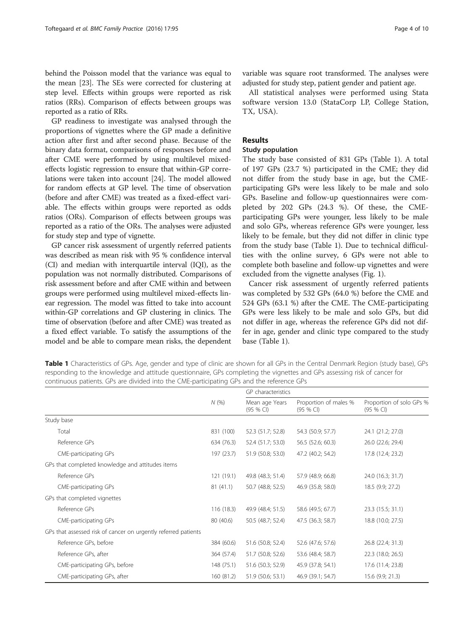behind the Poisson model that the variance was equal to the mean [[23](#page-9-0)]. The SEs were corrected for clustering at step level. Effects within groups were reported as risk ratios (RRs). Comparison of effects between groups was reported as a ratio of RRs.

GP readiness to investigate was analysed through the proportions of vignettes where the GP made a definitive action after first and after second phase. Because of the binary data format, comparisons of responses before and after CME were performed by using multilevel mixedeffects logistic regression to ensure that within-GP correlations were taken into account [\[24\]](#page-9-0). The model allowed for random effects at GP level. The time of observation (before and after CME) was treated as a fixed-effect variable. The effects within groups were reported as odds ratios (ORs). Comparison of effects between groups was reported as a ratio of the ORs. The analyses were adjusted for study step and type of vignette.

GP cancer risk assessment of urgently referred patients was described as mean risk with 95 % confidence interval (CI) and median with interquartile interval (IQI), as the population was not normally distributed. Comparisons of risk assessment before and after CME within and between groups were performed using multilevel mixed-effects linear regression. The model was fitted to take into account within-GP correlations and GP clustering in clinics. The time of observation (before and after CME) was treated as a fixed effect variable. To satisfy the assumptions of the model and be able to compare mean risks, the dependent variable was square root transformed. The analyses were adjusted for study step, patient gender and patient age.

All statistical analyses were performed using Stata software version 13.0 (StataCorp LP, College Station, TX, USA).

# Results

# Study population

The study base consisted of 831 GPs (Table 1). A total of 197 GPs (23.7 %) participated in the CME; they did not differ from the study base in age, but the CMEparticipating GPs were less likely to be male and solo GPs. Baseline and follow-up questionnaires were completed by 202 GPs (24.3 %). Of these, the CMEparticipating GPs were younger, less likely to be male and solo GPs, whereas reference GPs were younger, less likely to be female, but they did not differ in clinic type from the study base (Table 1). Due to technical difficulties with the online survey, 6 GPs were not able to complete both baseline and follow-up vignettes and were excluded from the vignette analyses (Fig. [1](#page-4-0)).

Cancer risk assessment of urgently referred patients was completed by 532 GPs (64.0 %) before the CME and 524 GPs (63.1 %) after the CME. The CME-participating GPs were less likely to be male and solo GPs, but did not differ in age, whereas the reference GPs did not differ in age, gender and clinic type compared to the study base (Table 1).

Table 1 Characteristics of GPs. Age, gender and type of clinic are shown for all GPs in the Central Denmark Region (study base), GPs responding to the knowledge and attitude questionnaire, GPs completing the vignettes and GPs assessing risk of cancer for continuous patients. GPs are divided into the CME-participating GPs and the reference GPs

|                                                                |            | GP characteristics          |                                    |                                       |  |  |
|----------------------------------------------------------------|------------|-----------------------------|------------------------------------|---------------------------------------|--|--|
|                                                                | N(%        | Mean age Years<br>(95 % CI) | Proportion of males %<br>(95 % CI) | Proportion of solo GPs %<br>(95 % CI) |  |  |
| Study base                                                     |            |                             |                                    |                                       |  |  |
| Total                                                          | 831 (100)  | 52.3 (51.7; 52.8)           | 54.3 (50.9; 57.7)                  | 24.1 (21.2; 27.0)                     |  |  |
| Reference GPs                                                  | 634 (76.3) | 52.4 (51.7; 53.0)           | 56.5 (52.6; 60.3)                  | 26.0 (22.6; 29.4)                     |  |  |
| CME-participating GPs                                          | 197 (23.7) | 51.9 (50.8; 53.0)           | 47.2 (40.2; 54.2)                  | 17.8 (12.4; 23.2)                     |  |  |
| GPs that completed knowledge and attitudes items               |            |                             |                                    |                                       |  |  |
| Reference GPs                                                  | 121(19.1)  | 49.8 (48.3; 51.4)           | 57.9 (48.9; 66.8)                  | 24.0 (16.3; 31.7)                     |  |  |
| CME-participating GPs                                          | 81(41.1)   | 50.7 (48.8; 52.5)           | 46.9 (35.8; 58.0)                  | 18.5 (9.9; 27.2)                      |  |  |
| GPs that completed vignettes                                   |            |                             |                                    |                                       |  |  |
| Reference GPs                                                  | 116(18.3)  | 49.9 (48.4; 51.5)           | 58.6 (49.5; 67.7)                  | 23.3 (15.5; 31.1)                     |  |  |
| CME-participating GPs                                          | 80 (40.6)  | 50.5 (48.7; 52.4)           | 47.5 (36.3; 58.7)                  | 18.8 (10.0; 27.5)                     |  |  |
| GPs that assessed risk of cancer on urgently referred patients |            |                             |                                    |                                       |  |  |
| Reference GPs, before                                          | 384 (60.6) | 51.6 (50.8; 52.4)           | 52.6 (47.6; 57.6)                  | 26.8 (22.4; 31.3)                     |  |  |
| Reference GPs, after                                           | 364 (57.4) | 51.7 (50.8; 52.6)           | 53.6 (48.4; 58.7)                  | 22.3 (18.0; 26.5)                     |  |  |
| CME-participating GPs, before                                  | 148 (75.1) | 51.6 (50.3; 52.9)           | 45.9 (37.8; 54.1)                  | 17.6 (11.4; 23.8)                     |  |  |
| CME-participating GPs, after                                   | 160 (81.2) | 51.9 (50.6; 53.1)           | 46.9 (39.1; 54.7)                  | 15.6 (9.9; 21.3)                      |  |  |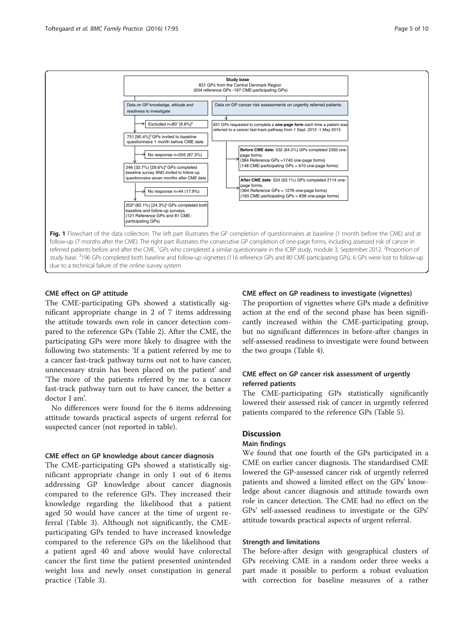<span id="page-4-0"></span>

# CME effect on GP attitude

The CME-participating GPs showed a statistically significant appropriate change in 2 of 7 items addressing the attitude towards own role in cancer detection compared to the reference GPs (Table [2\)](#page-5-0). After the CME, the participating GPs were more likely to disagree with the following two statements: 'If a patient referred by me to a cancer fast-track pathway turns out not to have cancer, unnecessary strain has been placed on the patient' and 'The more of the patients referred by me to a cancer fast-track pathway turn out to have cancer, the better a doctor I am'.

No differences were found for the 6 items addressing attitude towards practical aspects of urgent referral for suspected cancer (not reported in table).

### CME effect on GP knowledge about cancer diagnosis

The CME-participating GPs showed a statistically significant appropriate change in only 1 out of 6 items addressing GP knowledge about cancer diagnosis compared to the reference GPs. They increased their knowledge regarding the likelihood that a patient aged 50 would have cancer at the time of urgent referral (Table [3\)](#page-6-0). Although not significantly, the CMEparticipating GPs tended to have increased knowledge compared to the reference GPs on the likelihood that a patient aged 40 and above would have colorectal cancer the first time the patient presented unintended weight loss and newly onset constipation in general practice (Table [3](#page-6-0)).

# CME effect on GP readiness to investigate (vignettes)

The proportion of vignettes where GPs made a definitive action at the end of the second phase has been significantly increased within the CME-participating group, but no significant differences in before-after changes in self-assessed readiness to investigate were found between the two groups (Table [4\)](#page-7-0).

# CME effect on GP cancer risk assessment of urgently referred patients

The CME-participating GPs statistically significantly lowered their assessed risk of cancer in urgently referred patients compared to the reference GPs (Table [5\)](#page-7-0).

# **Discussion**

# Main findings

We found that one fourth of the GPs participated in a CME on earlier cancer diagnosis. The standardised CME lowered the GP-assessed cancer risk of urgently referred patients and showed a limited effect on the GPs' knowledge about cancer diagnosis and attitude towards own role in cancer detection. The CME had no effect on the GPs' self-assessed readiness to investigate or the GPs' attitude towards practical aspects of urgent referral.

# Strength and limitations

The before-after design with geographical clusters of GPs receiving CME in a random order three weeks a part made it possible to perform a robust evaluation with correction for baseline measures of a rather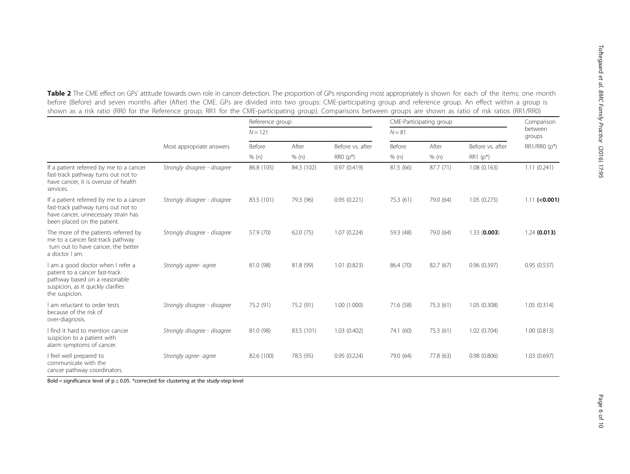|                                                                                                                                                              |                              | Reference group<br>$N = 121$ |            |                  | CME-Participating group<br>$N = 81$ |           |                  | Comparison<br>between<br>groups |
|--------------------------------------------------------------------------------------------------------------------------------------------------------------|------------------------------|------------------------------|------------|------------------|-------------------------------------|-----------|------------------|---------------------------------|
|                                                                                                                                                              |                              |                              |            |                  |                                     |           |                  |                                 |
|                                                                                                                                                              | Most appropriate answers     | Before<br>After              |            | Before vs. after | Before                              | After     | Before vs. after | RR1/RR0 (p*)                    |
|                                                                                                                                                              |                              | % (n)                        | % (n)      | $RRO(p*)$        | % (n)                               | % (n)     | $RR1(p*)$        |                                 |
| If a patient referred by me to a cancer<br>fast-track pathway turns out not to<br>have cancer, it is overuse of health<br>services.                          | Strongly disagree - disagree | 86.8 (105)                   | 84.3 (102) | 0.97(0.419)      | 81.5 (66)                           | 87.7 (71) | 1.08(0.163)      | 1.11(0.241)                     |
| If a patient referred by me to a cancer<br>fast-track pathway turns out not to<br>have cancer, unnecessary strain has<br>been placed on the patient.         | Strongly disagree - disagree | 83.5 (101)                   | 79.3 (96)  | 0.95(0.221)      | 75.3 (61)                           | 79.0 (64) | 1.05(0.275)      | $1.11$ (<0.001)                 |
| The more of the patients referred by<br>me to a cancer fast-track pathway<br>turn out to have cancer, the better<br>a doctor I am.                           | Strongly disagree - disagree | 57.9 (70)                    | 62.0(75)   | 1.07(0.224)      | 59.3 (48)                           | 79.0 (64) | 1.33(0.003)      | 1.24(0.013)                     |
| I am a good doctor when I refer a<br>patient to a cancer fast-track<br>pathway based on a reasonable<br>suspicion, as it quickly clarifies<br>the suspicion. | Strongly agree- agree        | 81.0 (98)                    | 81.8 (99)  | 1.01(0.823)      | 86.4 (70)                           | 82.7(67)  | 0.96(0.397)      | 0.95(0.537)                     |
| I am reluctant to order tests<br>because of the risk of<br>over-diagnosis.                                                                                   | Strongly disagree - disagree | 75.2 (91)                    | 75.2 (91)  | 1.00(1.000)      | 71.6 (58)                           | 75.3 (61) | 1.05 (0.308)     | 1.05(0.314)                     |
| I find it hard to mention cancer<br>suspicion to a patient with<br>alarm symptoms of cancer.                                                                 | Strongly disagree - disagree | 81.0 (98)                    | 83.5 (101) | 1.03(0.402)      | 74.1 (60)                           | 75.3 (61) | 1.02(0.704)      | 1.00(0.813)                     |
| I feel well prepared to<br>communicate with the<br>cancer pathway coordinators.                                                                              | Strongly agree- agree        | 82.6 (100)                   | 78.5 (95)  | 0.95(0.224)      | 79.0 (64)                           | 77.8 (63) | 0.98(0.806)      | 1.03(0.697)                     |

<span id="page-5-0"></span>Table 2 The CME effect on GPs' attitude towards own role in cancer detection. The proportion of GPs responding most appropriately is shown for each of the items; one month before (Before) and seven months after (After) the CME. GPs are divided into two groups: CME-participating group and reference group. An effect within a group is shown as a risk ratio (RR0 for the Reference group; RR1 for the CME-participating group). Comparisons between groups are shown as ratio of risk ratios (RR1/RR0)

Bold = significance level of  $p \le 0.05$ . \*corrected for clustering at the study-step-level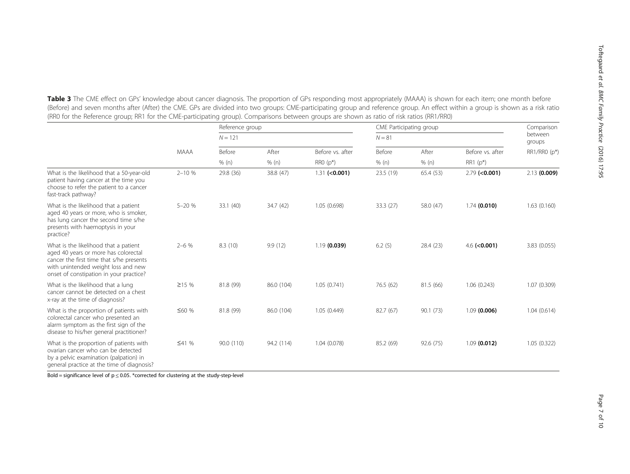|                                                                                                                                                                                                             | <b>MAAA</b> | Reference group<br>$N = 121$ |                |                               | CME Participating group<br>$N = 81$ |           |                  | Comparison<br>between<br>groups |
|-------------------------------------------------------------------------------------------------------------------------------------------------------------------------------------------------------------|-------------|------------------------------|----------------|-------------------------------|-------------------------------------|-----------|------------------|---------------------------------|
|                                                                                                                                                                                                             |             |                              |                |                               |                                     |           |                  |                                 |
|                                                                                                                                                                                                             |             | Before<br>% (n)              | After<br>% (n) | Before vs. after<br>$RRO(p*)$ | Before                              | After     | Before vs. after | $RR1/RR0(p*)$                   |
|                                                                                                                                                                                                             |             |                              |                |                               | % (n)                               | % (n)     | $RR1(p*)$        |                                 |
| What is the likelihood that a 50-year-old<br>patient having cancer at the time you<br>choose to refer the patient to a cancer<br>fast-track pathway?                                                        | $2 - 10%$   | 29.8 (36)                    | 38.8 (47)      | $1.31$ (<0.001)               | 23.5 (19)                           | 65.4 (53) | $2.79$ (<0.001)  | 2.13(0.009)                     |
| What is the likelihood that a patient<br>aged 40 years or more, who is smoker,<br>has lung cancer the second time s/he<br>presents with haemoptysis in your<br>practice?                                    | $5 - 20%$   | 33.1 (40)                    | 34.7 (42)      | 1.05 (0.698)                  | 33.3 (27)                           | 58.0 (47) | 1.74(0.010)      | 1.63(0.160)                     |
| What is the likelihood that a patient<br>aged 40 years or more has colorectal<br>cancer the first time that s/he presents<br>with unintended weight loss and new<br>onset of constipation in your practice? | $2 - 6$ %   | 8.3(10)                      | 9.9(12)        | 1.19(0.039)                   | 6.2(5)                              | 28.4 (23) | $4.6$ (<0.001)   | 3.83 (0.055)                    |
| What is the likelihood that a lung<br>cancer cannot be detected on a chest<br>x-ray at the time of diagnosis?                                                                                               | $\geq$ 15 % | 81.8 (99)                    | 86.0 (104)     | 1.05(0.741)                   | 76.5 (62)                           | 81.5 (66) | 1.06(0.243)      | 1.07(0.309)                     |
| What is the proportion of patients with<br>colorectal cancer who presented an<br>alarm symptom as the first sign of the<br>disease to his/her general practitioner?                                         | ≤60 %       | 81.8 (99)                    | 86.0 (104)     | 1.05 (0.449)                  | 82.7 (67)                           | 90.1(73)  | 1.09(0.006)      | 1.04(0.614)                     |
| What is the proportion of patients with<br>ovarian cancer who can be detected<br>by a pelvic examination (palpation) in<br>general practice at the time of diagnosis?                                       | 541%        | 90.0 (110)                   | 94.2 (114)     | 1.04 (0.078)                  | 85.2 (69)                           | 92.6(75)  | 1.09(0.012)      | 1.05(0.322)                     |

<span id="page-6-0"></span>Table 3 The CME effect on GPs' knowledge about cancer diagnosis. The proportion of GPs responding most appropriately (MAAA) is shown for each item; one month before (Before) and seven months after (After) the CME. GPs are divided into two groups: CME-participating group and reference group. An effect within a group is shown as a risk ratio (RR0 for the Reference group; RR1 for the CME-participating group). Comparisons between groups are shown as ratio of risk ratios (RR1/RR0)

Bold = significance level of  $p \le 0.05$ . \*corrected for clustering at the study-step-level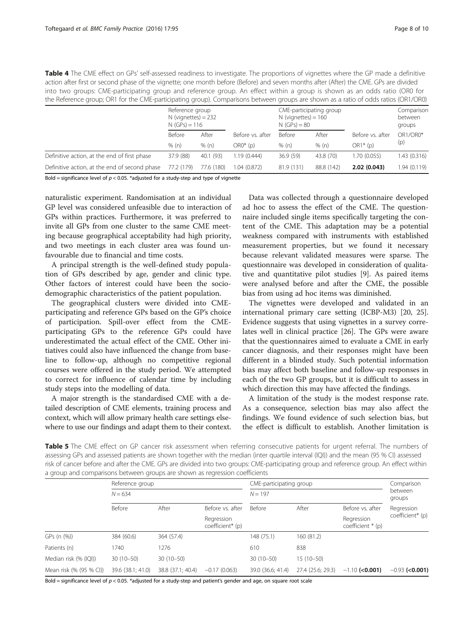<span id="page-7-0"></span>Table 4 The CME effect on GPs' self-assessed readiness to investigate. The proportions of vignettes where the GP made a definitive action after first or second phase of the vignette; one month before (Before) and seven months after (After) the CME. GPs are divided into two groups: CME-participating group and reference group. An effect within a group is shown as an odds ratio (OR0 for the Reference group; OR1 for the CME-participating group). Comparisons between groups are shown as a ratio of odds ratios (OR1/OR0)

|                                               | Reference group<br>N (vignettes) $= 232$<br>$N(GPs) = 116$ |            | Before vs. after | CME-participating group<br>N (vignettes) = $160$<br>$N(GPs) = 80$ |            |                  | Comparison<br>between<br>groups |
|-----------------------------------------------|------------------------------------------------------------|------------|------------------|-------------------------------------------------------------------|------------|------------------|---------------------------------|
|                                               | Before                                                     | After      |                  | <b>Before</b>                                                     | After      | Before vs. after | OR1/OR0*                        |
|                                               | % (n)<br>% (n)                                             |            | $ORO*$ (p)       | % (n)<br>% (n)                                                    |            | $OR1*(p)$        | (p)                             |
| Definitive action, at the end of first phase  | 37.9 (88)                                                  | 40.1(93)   | 1.19(0.444)      | 36.9 (59)                                                         | 43.8 (70)  | 1.70 (0.055)     | 1.43 (0.316)                    |
| Definitive action, at the end of second phase | 77.2 (179)                                                 | 77.6 (180) | 1.04(0.872)      | 81.9 (131)                                                        | 88.8 (142) | 2.02(0.043)      | 1.94 (0.119)                    |

Bold = significance level of  $p < 0.05$ . \*adjusted for a study-step and type of vignette

naturalistic experiment. Randomisation at an individual GP level was considered unfeasible due to interaction of GPs within practices. Furthermore, it was preferred to invite all GPs from one cluster to the same CME meeting because geographical acceptability had high priority, and two meetings in each cluster area was found unfavourable due to financial and time costs.

A principal strength is the well-defined study population of GPs described by age, gender and clinic type. Other factors of interest could have been the sociodemographic characteristics of the patient population.

The geographical clusters were divided into CMEparticipating and reference GPs based on the GP's choice of participation. Spill-over effect from the CMEparticipating GPs to the reference GPs could have underestimated the actual effect of the CME. Other initiatives could also have influenced the change from baseline to follow-up, although no competitive regional courses were offered in the study period. We attempted to correct for influence of calendar time by including study steps into the modelling of data.

A major strength is the standardised CME with a detailed description of CME elements, training process and context, which will allow primary health care settings elsewhere to use our findings and adapt them to their context.

Data was collected through a questionnaire developed ad hoc to assess the effect of the CME. The questionnaire included single items specifically targeting the content of the CME. This adaptation may be a potential weakness compared with instruments with established measurement properties, but we found it necessary because relevant validated measures were sparse. The questionnaire was developed in consideration of qualitative and quantitative pilot studies [[9\]](#page-9-0). As paired items were analysed before and after the CME, the possible bias from using ad hoc items was diminished.

The vignettes were developed and validated in an international primary care setting (ICBP-M3) [\[20](#page-9-0), [25](#page-9-0)]. Evidence suggests that using vignettes in a survey correlates well in clinical practice [[26\]](#page-9-0). The GPs were aware that the questionnaires aimed to evaluate a CME in early cancer diagnosis, and their responses might have been different in a blinded study. Such potential information bias may affect both baseline and follow-up responses in each of the two GP groups, but it is difficult to assess in which direction this may have affected the findings.

A limitation of the study is the modest response rate. As a consequence, selection bias may also affect the findings. We found evidence of such selection bias, but the effect is difficult to establish. Another limitation is

Table 5 The CME effect on GP cancer risk assessment when referring consecutive patients for urgent referral. The numbers of assessing GPs and assessed patients are shown together with the median (inter quartile interval (IQI)) and the mean (95 % CI) assessed risk of cancer before and after the CME. GPs are divided into two groups: CME-participating group and reference group. An effect within a group and comparisons between groups are shown as regression coefficients

|                         | Reference group   |                   |                                | CME-participating group | Comparison        |                                  |                                |
|-------------------------|-------------------|-------------------|--------------------------------|-------------------------|-------------------|----------------------------------|--------------------------------|
|                         | $N = 634$         |                   |                                | $N = 197$               | between<br>groups |                                  |                                |
|                         | Before            | After             | Before vs. after               | Before                  | After             | Before vs. after                 | Regression<br>coefficient* (p) |
|                         |                   |                   | Regression<br>coefficient* (p) |                         |                   | Regression<br>coefficient $*(p)$ |                                |
| GPs (n (%))             | 384 (60.6)        | 364 (57.4)        |                                | 148 (75.1)              | 160 (81.2)        |                                  |                                |
| Patients (n)            | 1740              | 1276              |                                | 610                     | 838               |                                  |                                |
| Median risk (% (IQI))   | $30(10-50)$       | $30(10-50)$       |                                | $30(10-50)$             | $15(10-50)$       |                                  |                                |
| Mean risk (% (95 % CI)) | 39.6 (38.1; 41.0) | 38.8 (37.1; 40.4) | $-0.17(0.063)$                 | 39.0 (36.6; 41.4)       | 27.4 (25.6; 29.3) | $-1.10$ (<0.001)                 | $-0.93$ (<0.001)               |

Bold = significance level of  $p < 0.05$ . \*adjusted for a study-step and patient's gender and age, on square root scale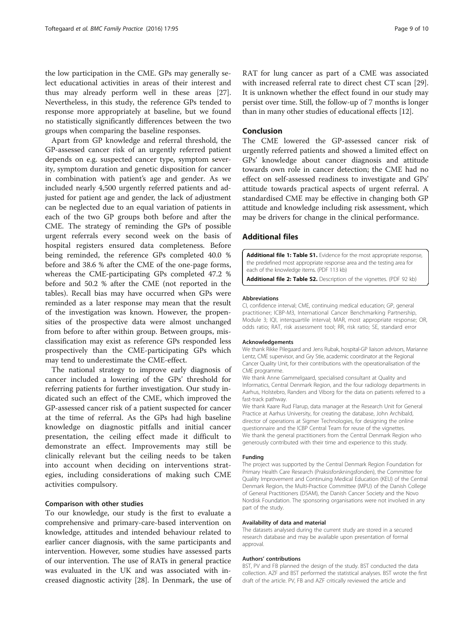<span id="page-8-0"></span>the low participation in the CME. GPs may generally select educational activities in areas of their interest and thus may already perform well in these areas [\[27](#page-9-0)]. Nevertheless, in this study, the reference GPs tended to response more appropriately at baseline, but we found no statistically significantly differences between the two groups when comparing the baseline responses.

Apart from GP knowledge and referral threshold, the GP-assessed cancer risk of an urgently referred patient depends on e.g. suspected cancer type, symptom severity, symptom duration and genetic disposition for cancer in combination with patient's age and gender. As we included nearly 4,500 urgently referred patients and adjusted for patient age and gender, the lack of adjustment can be neglected due to an equal variation of patients in each of the two GP groups both before and after the CME. The strategy of reminding the GPs of possible urgent referrals every second week on the basis of hospital registers ensured data completeness. Before being reminded, the reference GPs completed 40.0 % before and 38.6 % after the CME of the one-page forms, whereas the CME-participating GPs completed 47.2 % before and 50.2 % after the CME (not reported in the tables). Recall bias may have occurred when GPs were reminded as a later response may mean that the result of the investigation was known. However, the propensities of the prospective data were almost unchanged from before to after within group. Between groups, misclassification may exist as reference GPs responded less prospectively than the CME-participating GPs which may tend to underestimate the CME-effect.

The national strategy to improve early diagnosis of cancer included a lowering of the GPs' threshold for referring patients for further investigation. Our study indicated such an effect of the CME, which improved the GP-assessed cancer risk of a patient suspected for cancer at the time of referral. As the GPs had high baseline knowledge on diagnostic pitfalls and initial cancer presentation, the ceiling effect made it difficult to demonstrate an effect. Improvements may still be clinically relevant but the ceiling needs to be taken into account when deciding on interventions strategies, including considerations of making such CME activities compulsory.

### Comparison with other studies

To our knowledge, our study is the first to evaluate a comprehensive and primary-care-based intervention on knowledge, attitudes and intended behaviour related to earlier cancer diagnosis, with the same participants and intervention. However, some studies have assessed parts of our intervention. The use of RATs in general practice was evaluated in the UK and was associated with increased diagnostic activity [\[28](#page-9-0)]. In Denmark, the use of RAT for lung cancer as part of a CME was associated with increased referral rate to direct chest CT scan [\[29](#page-9-0)]. It is unknown whether the effect found in our study may persist over time. Still, the follow-up of 7 months is longer than in many other studies of educational effects [[12](#page-9-0)].

### Conclusion

The CME lowered the GP-assessed cancer risk of urgently referred patients and showed a limited effect on GPs' knowledge about cancer diagnosis and attitude towards own role in cancer detection; the CME had no effect on self-assessed readiness to investigate and GPs' attitude towards practical aspects of urgent referral. A standardised CME may be effective in changing both GP attitude and knowledge including risk assessment, which may be drivers for change in the clinical performance.

### Additional files

[Additional file 1: Table S1.](dx.doi.org/10.1186/s12875-016-0496-x) Evidence for the most appropriate response, the predefined most appropriate response area and the testing area for each of the knowledge items. (PDF 113 kb)

[Additional file 2: Table S2.](dx.doi.org/10.1186/s12875-016-0496-x) Description of the vignettes. (PDF 92 kb)

### Abbreviations

CI, confidence interval; CME, continuing medical education; GP, general practitioner; ICBP-M3, International Cancer Benchmarking Partnership, Module 3; IQI, interquartile interval; MAR, most appropriate response; OR, odds ratio; RAT, risk assessment tool; RR, risk ratio; SE, standard error

#### Acknowledgements

We thank Rikke Pilegaard and Jens Rubak, hospital-GP liaison advisors, Marianne Lentz, CME supervisor, and Gry Stie, academic coordinator at the Regional Cancer Quality Unit, for their contributions with the operationalisation of the CME programme.

We thank Anne Gammelgaard, specialised consultant at Quality and Informatics, Central Denmark Region, and the four radiology departments in Aarhus, Holstebro, Randers and Viborg for the data on patients referred to a fast-track pathway.

We thank Kaare Rud Flarup, data manager at the Research Unit for General Practice at Aarhus University, for creating the database, John Archibald, director of operations at Sigmer Technologies, for designing the online questionnaire and the ICBP Central Team for reuse of the vignettes. We thank the general practitioners from the Central Denmark Region who generously contributed with their time and experience to this study.

#### Funding

The project was supported by the Central Denmark Region Foundation for Primary Health Care Research (Praksisforskningsfonden), the Committee for Quality Improvement and Continuing Medical Education (KEU) of the Central Denmark Region, the Multi-Practice Committee (MPU) of the Danish College of General Practitioners (DSAM), the Danish Cancer Society and the Novo Nordisk Foundation. The sponsoring organisations were not involved in any part of the study.

#### Availability of data and material

The datasets analysed during the current study are stored in a secured research database and may be available upon presentation of formal approval.

#### Authors' contributions

BST, PV and FB planned the design of the study. BST conducted the data collection. AZF and BST performed the statistical analyses. BST wrote the first draft of the article. PV, FB and AZF critically reviewed the article and